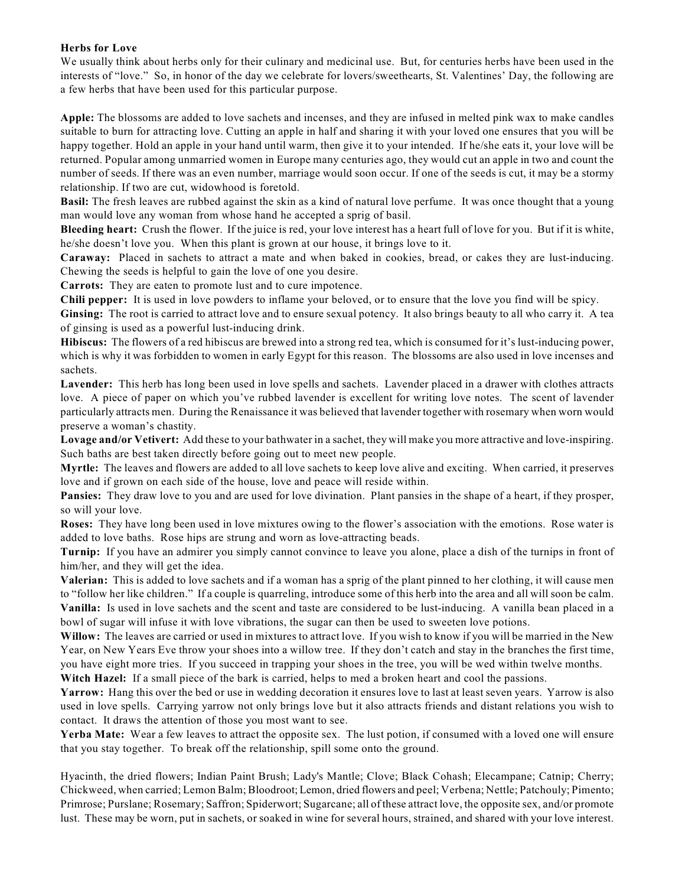## **Herbs for Love**

We usually think about herbs only for their culinary and medicinal use. But, for centuries herbs have been used in the interests of "love." So, in honor of the day we celebrate for lovers/sweethearts, St. Valentines' Day, the following are a few herbs that have been used for this particular purpose.

**Apple:** The blossoms are added to love sachets and incenses, and they are infused in melted pink wax to make candles suitable to burn for attracting love. Cutting an apple in half and sharing it with your loved one ensures that you will be happy together. Hold an apple in your hand until warm, then give it to your intended. If he/she eats it, your love will be returned. Popular among unmarried women in Europe many centuries ago, they would cut an apple in two and count the number of seeds. If there was an even number, marriage would soon occur. If one of the seeds is cut, it may be a stormy relationship. If two are cut, widowhood is foretold.

**Basil:** The fresh leaves are rubbed against the skin as a kind of natural love perfume. It was once thought that a young man would love any woman from whose hand he accepted a sprig of basil.

**Bleeding heart:** Crush the flower. If the juice is red, your love interest has a heart full of love for you. But if it is white, he/she doesn't love you. When this plant is grown at our house, it brings love to it.

**Caraway:** Placed in sachets to attract a mate and when baked in cookies, bread, or cakes they are lust-inducing. Chewing the seeds is helpful to gain the love of one you desire.

**Carrots:** They are eaten to promote lust and to cure impotence.

**Chili pepper:** It is used in love powders to inflame your beloved, or to ensure that the love you find will be spicy.

**Ginsing:** The root is carried to attract love and to ensure sexual potency. It also brings beauty to all who carry it. A tea of ginsing is used as a powerful lust-inducing drink.

**Hibiscus:** The flowers of a red hibiscus are brewed into a strong red tea, which is consumed for it's lust-inducing power, which is why it was forbidden to women in early Egypt for this reason. The blossoms are also used in love incenses and sachets.

**Lavender:** This herb has long been used in love spells and sachets. Lavender placed in a drawer with clothes attracts love. A piece of paper on which you've rubbed lavender is excellent for writing love notes. The scent of lavender particularly attracts men. During the Renaissance it was believed that lavender together with rosemary when worn would preserve a woman's chastity.

**Lovage and/or Vetivert:** Add these to your bathwater in a sachet, they will make you more attractive and love-inspiring. Such baths are best taken directly before going out to meet new people.

**Myrtle:** The leaves and flowers are added to all love sachets to keep love alive and exciting. When carried, it preserves love and if grown on each side of the house, love and peace will reside within.

**Pansies:** They draw love to you and are used for love divination. Plant pansies in the shape of a heart, if they prosper, so will your love.

**Roses:** They have long been used in love mixtures owing to the flower's association with the emotions. Rose water is added to love baths. Rose hips are strung and worn as love-attracting beads.

**Turnip:** If you have an admirer you simply cannot convince to leave you alone, place a dish of the turnips in front of him/her, and they will get the idea.

**Valerian:** This is added to love sachets and if a woman has a sprig of the plant pinned to her clothing, it will cause men to "follow her like children." If a couple is quarreling, introduce some of this herb into the area and all will soon be calm. **Vanilla:** Is used in love sachets and the scent and taste are considered to be lust-inducing. A vanilla bean placed in a bowl of sugar will infuse it with love vibrations, the sugar can then be used to sweeten love potions.

**Willow:** The leaves are carried or used in mixtures to attract love. If you wish to know if you will be married in the New Year, on New Years Eve throw your shoes into a willow tree. If they don't catch and stay in the branches the first time, you have eight more tries. If you succeed in trapping your shoes in the tree, you will be wed within twelve months.

**Witch Hazel:** If a small piece of the bark is carried, helps to med a broken heart and cool the passions.

**Yarrow:** Hang this over the bed or use in wedding decoration it ensures love to last at least seven years. Yarrow is also used in love spells. Carrying yarrow not only brings love but it also attracts friends and distant relations you wish to contact. It draws the attention of those you most want to see.

**Yerba Mate:** Wear a few leaves to attract the opposite sex. The lust potion, if consumed with a loved one will ensure that you stay together. To break off the relationship, spill some onto the ground.

Hyacinth, the dried flowers; Indian Paint Brush; Lady's Mantle; Clove; Black Cohash; Elecampane; Catnip; Cherry; Chickweed, when carried; Lemon Balm; Bloodroot; Lemon, dried flowers and peel; Verbena; Nettle; Patchouly; Pimento; Primrose; Purslane; Rosemary; Saffron; Spiderwort; Sugarcane; all of these attract love, the opposite sex, and/or promote lust. These may be worn, put in sachets, or soaked in wine for several hours, strained, and shared with your love interest.